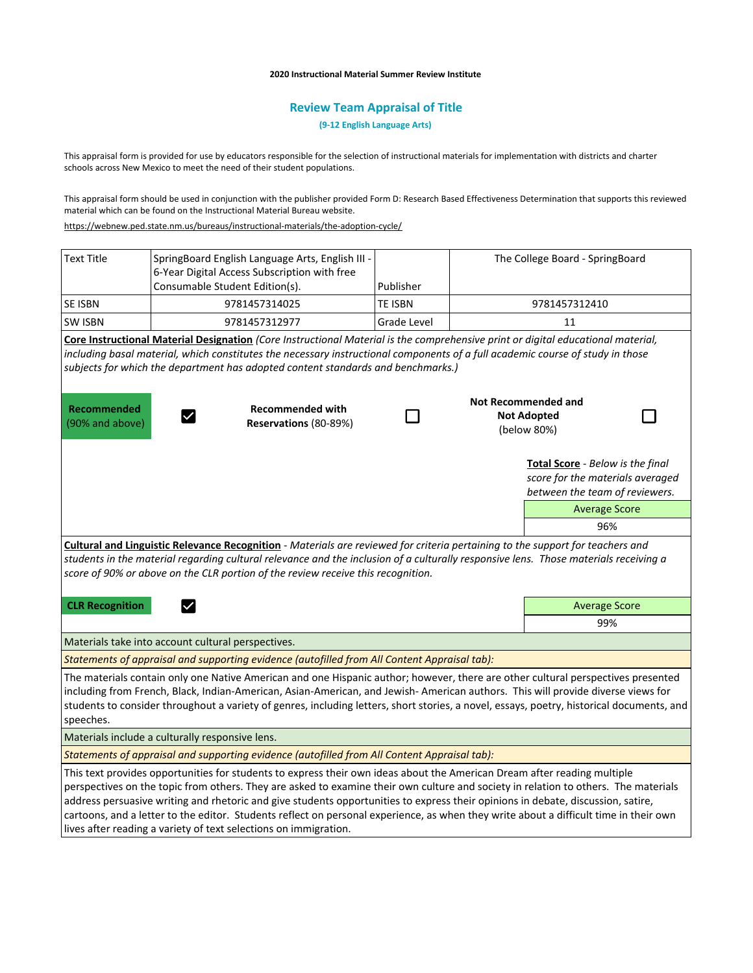#### **2020 Instructional Material Summer Review Institute**

# **Review Team Appraisal of Title**

**(9-12 English Language Arts)**

This appraisal form is provided for use by educators responsible for the selection of instructional materials for implementation with districts and charter schools across New Mexico to meet the need of their student populations.

This appraisal form should be used in conjunction with the publisher provided Form D: Research Based Effectiveness Determination that supports this reviewed material which can be found on the Instructional Material Bureau website.

<https://webnew.ped.state.nm.us/bureaus/instructional-materials/the-adoption-cycle/>

| <b>Text Title</b>                                                                                                                                                                                                                                                                                                                                                                                                                                                                                                                                                                                                | SpringBoard English Language Arts, English III -<br>6-Year Digital Access Subscription with free<br>Consumable Student Edition(s).                                                                                 | Publisher      | The College Board - SpringBoard                                 |                                                                                                        |  |
|------------------------------------------------------------------------------------------------------------------------------------------------------------------------------------------------------------------------------------------------------------------------------------------------------------------------------------------------------------------------------------------------------------------------------------------------------------------------------------------------------------------------------------------------------------------------------------------------------------------|--------------------------------------------------------------------------------------------------------------------------------------------------------------------------------------------------------------------|----------------|-----------------------------------------------------------------|--------------------------------------------------------------------------------------------------------|--|
| SE ISBN                                                                                                                                                                                                                                                                                                                                                                                                                                                                                                                                                                                                          | 9781457314025                                                                                                                                                                                                      | <b>TE ISBN</b> |                                                                 | 9781457312410                                                                                          |  |
| <b>SW ISBN</b>                                                                                                                                                                                                                                                                                                                                                                                                                                                                                                                                                                                                   | 9781457312977                                                                                                                                                                                                      | Grade Level    |                                                                 | 11                                                                                                     |  |
| Core Instructional Material Designation (Core Instructional Material is the comprehensive print or digital educational material,                                                                                                                                                                                                                                                                                                                                                                                                                                                                                 |                                                                                                                                                                                                                    |                |                                                                 |                                                                                                        |  |
|                                                                                                                                                                                                                                                                                                                                                                                                                                                                                                                                                                                                                  | including basal material, which constitutes the necessary instructional components of a full academic course of study in those<br>subjects for which the department has adopted content standards and benchmarks.) |                |                                                                 |                                                                                                        |  |
| Recommended<br>(90% and above)                                                                                                                                                                                                                                                                                                                                                                                                                                                                                                                                                                                   | <b>Recommended with</b><br>$\checkmark$<br>Reservations (80-89%)                                                                                                                                                   |                | <b>Not Recommended and</b><br><b>Not Adopted</b><br>(below 80%) |                                                                                                        |  |
|                                                                                                                                                                                                                                                                                                                                                                                                                                                                                                                                                                                                                  |                                                                                                                                                                                                                    |                |                                                                 | Total Score - Below is the final<br>score for the materials averaged<br>between the team of reviewers. |  |
|                                                                                                                                                                                                                                                                                                                                                                                                                                                                                                                                                                                                                  |                                                                                                                                                                                                                    |                |                                                                 | <b>Average Score</b>                                                                                   |  |
|                                                                                                                                                                                                                                                                                                                                                                                                                                                                                                                                                                                                                  |                                                                                                                                                                                                                    |                |                                                                 | 96%                                                                                                    |  |
| Cultural and Linguistic Relevance Recognition - Materials are reviewed for criteria pertaining to the support for teachers and<br>students in the material regarding cultural relevance and the inclusion of a culturally responsive lens. Those materials receiving a<br>score of 90% or above on the CLR portion of the review receive this recognition.                                                                                                                                                                                                                                                       |                                                                                                                                                                                                                    |                |                                                                 |                                                                                                        |  |
| <b>CLR Recognition</b><br>$\checkmark$                                                                                                                                                                                                                                                                                                                                                                                                                                                                                                                                                                           |                                                                                                                                                                                                                    |                |                                                                 | <b>Average Score</b>                                                                                   |  |
|                                                                                                                                                                                                                                                                                                                                                                                                                                                                                                                                                                                                                  |                                                                                                                                                                                                                    |                |                                                                 | 99%                                                                                                    |  |
| Materials take into account cultural perspectives.                                                                                                                                                                                                                                                                                                                                                                                                                                                                                                                                                               |                                                                                                                                                                                                                    |                |                                                                 |                                                                                                        |  |
|                                                                                                                                                                                                                                                                                                                                                                                                                                                                                                                                                                                                                  | Statements of appraisal and supporting evidence (autofilled from All Content Appraisal tab):                                                                                                                       |                |                                                                 |                                                                                                        |  |
| The materials contain only one Native American and one Hispanic author; however, there are other cultural perspectives presented<br>including from French, Black, Indian-American, Asian-American, and Jewish-American authors. This will provide diverse views for<br>students to consider throughout a variety of genres, including letters, short stories, a novel, essays, poetry, historical documents, and<br>speeches.                                                                                                                                                                                    |                                                                                                                                                                                                                    |                |                                                                 |                                                                                                        |  |
|                                                                                                                                                                                                                                                                                                                                                                                                                                                                                                                                                                                                                  | Materials include a culturally responsive lens.                                                                                                                                                                    |                |                                                                 |                                                                                                        |  |
| Statements of appraisal and supporting evidence (autofilled from All Content Appraisal tab):                                                                                                                                                                                                                                                                                                                                                                                                                                                                                                                     |                                                                                                                                                                                                                    |                |                                                                 |                                                                                                        |  |
| This text provides opportunities for students to express their own ideas about the American Dream after reading multiple<br>perspectives on the topic from others. They are asked to examine their own culture and society in relation to others. The materials<br>address persuasive writing and rhetoric and give students opportunities to express their opinions in debate, discussion, satire,<br>cartoons, and a letter to the editor. Students reflect on personal experience, as when they write about a difficult time in their own<br>lives after reading a variety of text selections on immigration. |                                                                                                                                                                                                                    |                |                                                                 |                                                                                                        |  |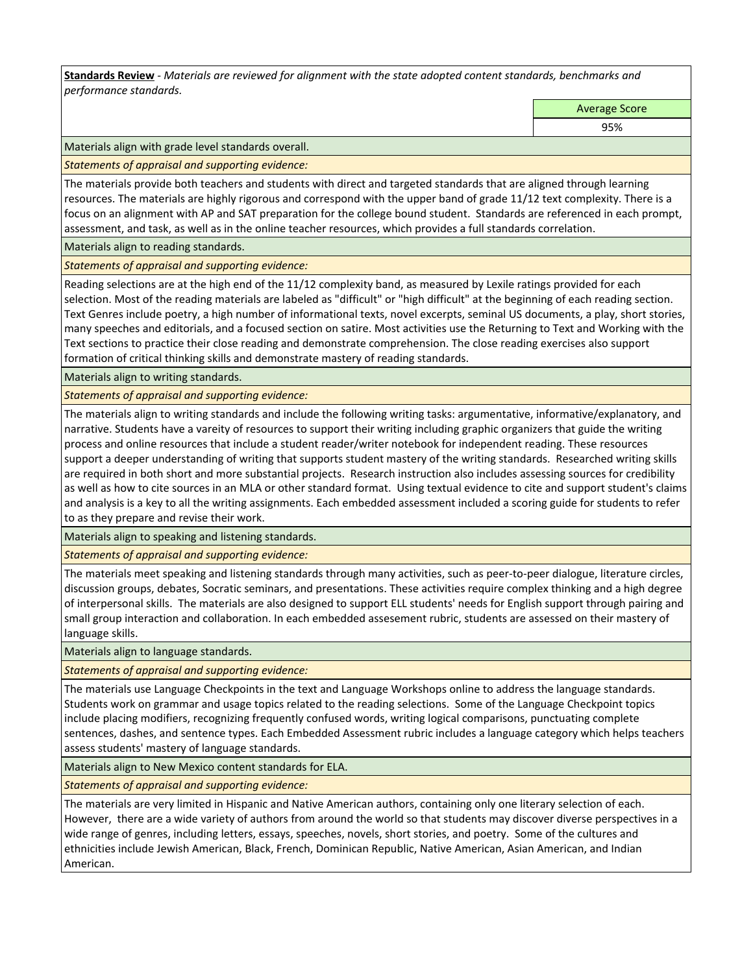**Standards Review** *- Materials are reviewed for alignment with the state adopted content standards, benchmarks and performance standards.*

Average Score

95%

Materials align with grade level standards overall.

*Statements of appraisal and supporting evidence:* 

The materials provide both teachers and students with direct and targeted standards that are aligned through learning resources. The materials are highly rigorous and correspond with the upper band of grade 11/12 text complexity. There is a focus on an alignment with AP and SAT preparation for the college bound student. Standards are referenced in each prompt, assessment, and task, as well as in the online teacher resources, which provides a full standards correlation.

Materials align to reading standards.

*Statements of appraisal and supporting evidence:* 

Reading selections are at the high end of the 11/12 complexity band, as measured by Lexile ratings provided for each selection. Most of the reading materials are labeled as "difficult" or "high difficult" at the beginning of each reading section. Text Genres include poetry, a high number of informational texts, novel excerpts, seminal US documents, a play, short stories, many speeches and editorials, and a focused section on satire. Most activities use the Returning to Text and Working with the Text sections to practice their close reading and demonstrate comprehension. The close reading exercises also support formation of critical thinking skills and demonstrate mastery of reading standards.

Materials align to writing standards.

*Statements of appraisal and supporting evidence:* 

The materials align to writing standards and include the following writing tasks: argumentative, informative/explanatory, and narrative. Students have a vareity of resources to support their writing including graphic organizers that guide the writing process and online resources that include a student reader/writer notebook for independent reading. These resources support a deeper understanding of writing that supports student mastery of the writing standards. Researched writing skills are required in both short and more substantial projects. Research instruction also includes assessing sources for credibility as well as how to cite sources in an MLA or other standard format. Using textual evidence to cite and support student's claims and analysis is a key to all the writing assignments. Each embedded assessment included a scoring guide for students to refer to as they prepare and revise their work.

Materials align to speaking and listening standards.

*Statements of appraisal and supporting evidence:* 

The materials meet speaking and listening standards through many activities, such as peer-to-peer dialogue, literature circles, discussion groups, debates, Socratic seminars, and presentations. These activities require complex thinking and a high degree of interpersonal skills. The materials are also designed to support ELL students' needs for English support through pairing and small group interaction and collaboration. In each embedded assesement rubric, students are assessed on their mastery of language skills.

Materials align to language standards.

*Statements of appraisal and supporting evidence:* 

The materials use Language Checkpoints in the text and Language Workshops online to address the language standards. Students work on grammar and usage topics related to the reading selections. Some of the Language Checkpoint topics include placing modifiers, recognizing frequently confused words, writing logical comparisons, punctuating complete sentences, dashes, and sentence types. Each Embedded Assessment rubric includes a language category which helps teachers assess students' mastery of language standards.

Materials align to New Mexico content standards for ELA.

*Statements of appraisal and supporting evidence:* 

The materials are very limited in Hispanic and Native American authors, containing only one literary selection of each. However, there are a wide variety of authors from around the world so that students may discover diverse perspectives in a wide range of genres, including letters, essays, speeches, novels, short stories, and poetry. Some of the cultures and ethnicities include Jewish American, Black, French, Dominican Republic, Native American, Asian American, and Indian American.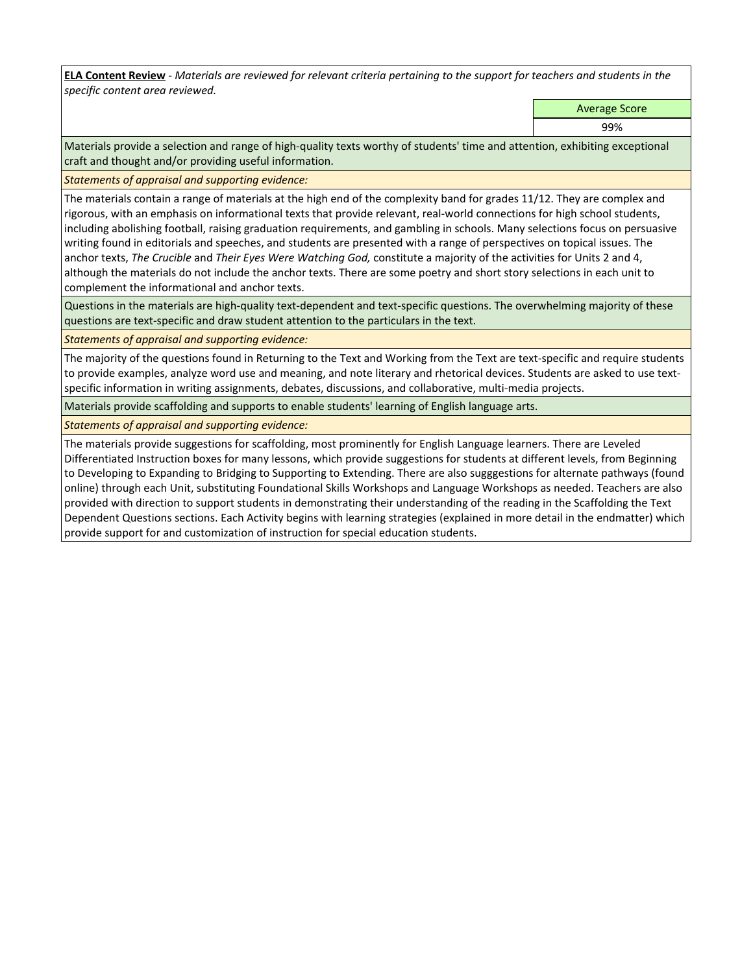**ELA Content Review** *- Materials are reviewed for relevant criteria pertaining to the support for teachers and students in the specific content area reviewed.*

Average Score

99%

Materials provide a selection and range of high-quality texts worthy of students' time and attention, exhibiting exceptional craft and thought and/or providing useful information.

*Statements of appraisal and supporting evidence:* 

The materials contain a range of materials at the high end of the complexity band for grades 11/12. They are complex and rigorous, with an emphasis on informational texts that provide relevant, real-world connections for high school students, including abolishing football, raising graduation requirements, and gambling in schools. Many selections focus on persuasive writing found in editorials and speeches, and students are presented with a range of perspectives on topical issues. The anchor texts, *The Crucible* and *Their Eyes Were Watching God,* constitute a majority of the activities for Units 2 and 4, although the materials do not include the anchor texts. There are some poetry and short story selections in each unit to complement the informational and anchor texts.

Questions in the materials are high-quality text-dependent and text-specific questions. The overwhelming majority of these questions are text-specific and draw student attention to the particulars in the text.

*Statements of appraisal and supporting evidence:* 

The majority of the questions found in Returning to the Text and Working from the Text are text-specific and require students to provide examples, analyze word use and meaning, and note literary and rhetorical devices. Students are asked to use textspecific information in writing assignments, debates, discussions, and collaborative, multi-media projects.

Materials provide scaffolding and supports to enable students' learning of English language arts.

*Statements of appraisal and supporting evidence:* 

The materials provide suggestions for scaffolding, most prominently for English Language learners. There are Leveled Differentiated Instruction boxes for many lessons, which provide suggestions for students at different levels, from Beginning to Developing to Expanding to Bridging to Supporting to Extending. There are also sugggestions for alternate pathways (found online) through each Unit, substituting Foundational Skills Workshops and Language Workshops as needed. Teachers are also provided with direction to support students in demonstrating their understanding of the reading in the Scaffolding the Text Dependent Questions sections. Each Activity begins with learning strategies (explained in more detail in the endmatter) which provide support for and customization of instruction for special education students.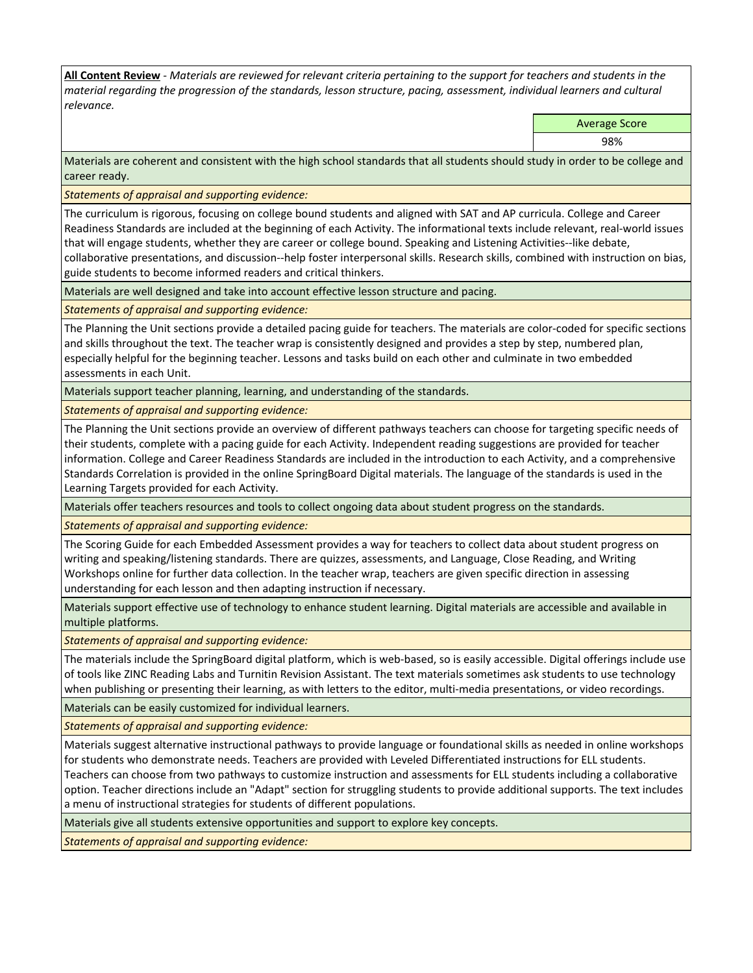**All Content Review** *- Materials are reviewed for relevant criteria pertaining to the support for teachers and students in the material regarding the progression of the standards, lesson structure, pacing, assessment, individual learners and cultural relevance.*

Average Score

98%

Materials are coherent and consistent with the high school standards that all students should study in order to be college and career ready.

*Statements of appraisal and supporting evidence:*

The curriculum is rigorous, focusing on college bound students and aligned with SAT and AP curricula. College and Career Readiness Standards are included at the beginning of each Activity. The informational texts include relevant, real-world issues that will engage students, whether they are career or college bound. Speaking and Listening Activities--like debate, collaborative presentations, and discussion--help foster interpersonal skills. Research skills, combined with instruction on bias, guide students to become informed readers and critical thinkers.

Materials are well designed and take into account effective lesson structure and pacing.

*Statements of appraisal and supporting evidence:*

The Planning the Unit sections provide a detailed pacing guide for teachers. The materials are color-coded for specific sections and skills throughout the text. The teacher wrap is consistently designed and provides a step by step, numbered plan, especially helpful for the beginning teacher. Lessons and tasks build on each other and culminate in two embedded assessments in each Unit.

Materials support teacher planning, learning, and understanding of the standards.

*Statements of appraisal and supporting evidence:*

The Planning the Unit sections provide an overview of different pathways teachers can choose for targeting specific needs of their students, complete with a pacing guide for each Activity. Independent reading suggestions are provided for teacher information. College and Career Readiness Standards are included in the introduction to each Activity, and a comprehensive Standards Correlation is provided in the online SpringBoard Digital materials. The language of the standards is used in the Learning Targets provided for each Activity.

Materials offer teachers resources and tools to collect ongoing data about student progress on the standards.

*Statements of appraisal and supporting evidence:*

The Scoring Guide for each Embedded Assessment provides a way for teachers to collect data about student progress on writing and speaking/listening standards. There are quizzes, assessments, and Language, Close Reading, and Writing Workshops online for further data collection. In the teacher wrap, teachers are given specific direction in assessing understanding for each lesson and then adapting instruction if necessary.

Materials support effective use of technology to enhance student learning. Digital materials are accessible and available in multiple platforms.

*Statements of appraisal and supporting evidence:*

The materials include the SpringBoard digital platform, which is web-based, so is easily accessible. Digital offerings include use of tools like ZINC Reading Labs and Turnitin Revision Assistant. The text materials sometimes ask students to use technology when publishing or presenting their learning, as with letters to the editor, multi-media presentations, or video recordings.

Materials can be easily customized for individual learners.

*Statements of appraisal and supporting evidence:* 

Materials suggest alternative instructional pathways to provide language or foundational skills as needed in online workshops for students who demonstrate needs. Teachers are provided with Leveled Differentiated instructions for ELL students. Teachers can choose from two pathways to customize instruction and assessments for ELL students including a collaborative option. Teacher directions include an "Adapt" section for struggling students to provide additional supports. The text includes a menu of instructional strategies for students of different populations.

Materials give all students extensive opportunities and support to explore key concepts.

*Statements of appraisal and supporting evidence:*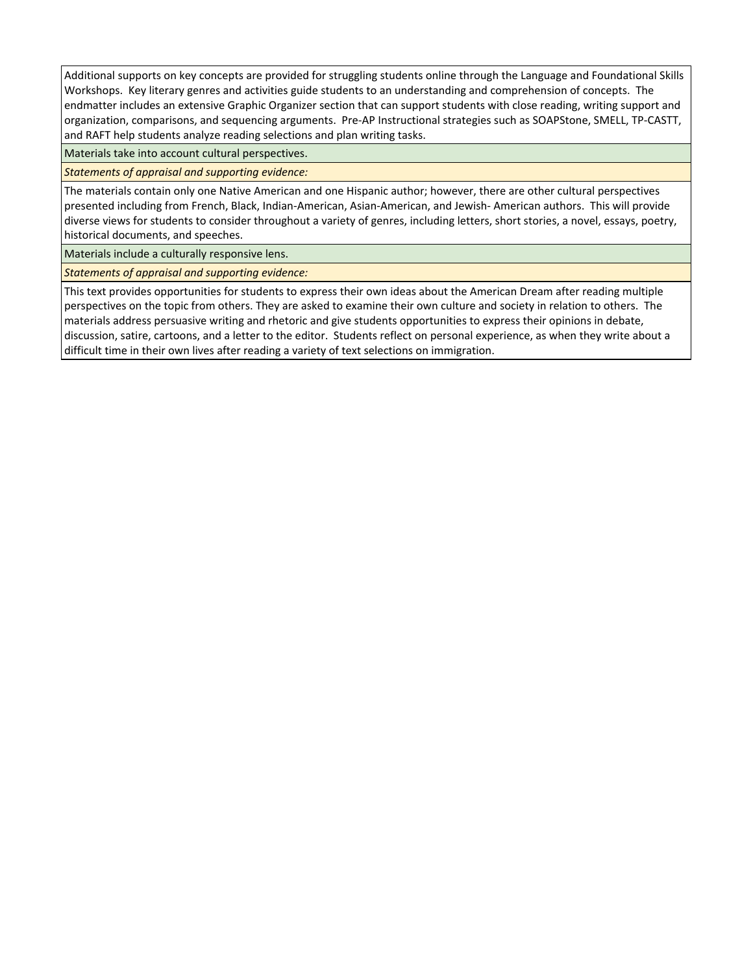Additional supports on key concepts are provided for struggling students online through the Language and Foundational Skills Workshops. Key literary genres and activities guide students to an understanding and comprehension of concepts. The endmatter includes an extensive Graphic Organizer section that can support students with close reading, writing support and organization, comparisons, and sequencing arguments. Pre-AP Instructional strategies such as SOAPStone, SMELL, TP-CASTT, and RAFT help students analyze reading selections and plan writing tasks.

Materials take into account cultural perspectives.

*Statements of appraisal and supporting evidence:*

The materials contain only one Native American and one Hispanic author; however, there are other cultural perspectives presented including from French, Black, Indian-American, Asian-American, and Jewish- American authors. This will provide diverse views for students to consider throughout a variety of genres, including letters, short stories, a novel, essays, poetry, historical documents, and speeches.

Materials include a culturally responsive lens.

*Statements of appraisal and supporting evidence:*

This text provides opportunities for students to express their own ideas about the American Dream after reading multiple perspectives on the topic from others. They are asked to examine their own culture and society in relation to others. The materials address persuasive writing and rhetoric and give students opportunities to express their opinions in debate, discussion, satire, cartoons, and a letter to the editor. Students reflect on personal experience, as when they write about a difficult time in their own lives after reading a variety of text selections on immigration.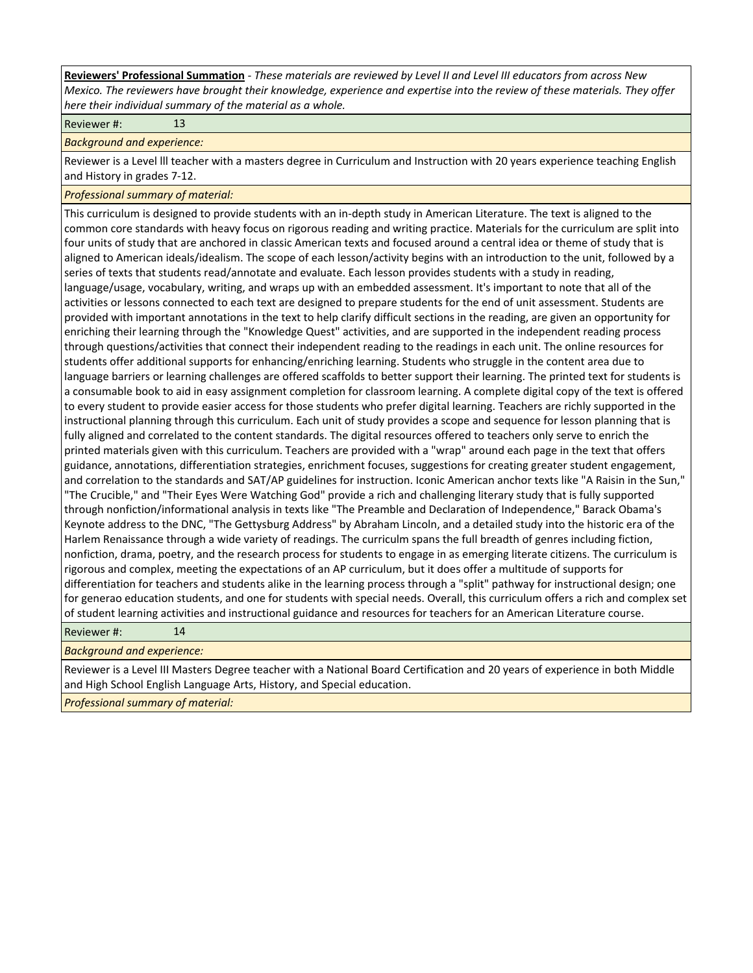**Reviewers' Professional Summation** *- These materials are reviewed by Level II and Level III educators from across New Mexico. The reviewers have brought their knowledge, experience and expertise into the review of these materials. They offer here their individual summary of the material as a whole.*

Reviewer #: 13

*Background and experience:*

Reviewer is a Level lll teacher with a masters degree in Curriculum and Instruction with 20 years experience teaching English and History in grades 7-12.

*Professional summary of material:*

This curriculum is designed to provide students with an in-depth study in American Literature. The text is aligned to the common core standards with heavy focus on rigorous reading and writing practice. Materials for the curriculum are split into four units of study that are anchored in classic American texts and focused around a central idea or theme of study that is aligned to American ideals/idealism. The scope of each lesson/activity begins with an introduction to the unit, followed by a series of texts that students read/annotate and evaluate. Each lesson provides students with a study in reading, language/usage, vocabulary, writing, and wraps up with an embedded assessment. It's important to note that all of the activities or lessons connected to each text are designed to prepare students for the end of unit assessment. Students are provided with important annotations in the text to help clarify difficult sections in the reading, are given an opportunity for enriching their learning through the "Knowledge Quest" activities, and are supported in the independent reading process through questions/activities that connect their independent reading to the readings in each unit. The online resources for students offer additional supports for enhancing/enriching learning. Students who struggle in the content area due to language barriers or learning challenges are offered scaffolds to better support their learning. The printed text for students is a consumable book to aid in easy assignment completion for classroom learning. A complete digital copy of the text is offered to every student to provide easier access for those students who prefer digital learning. Teachers are richly supported in the instructional planning through this curriculum. Each unit of study provides a scope and sequence for lesson planning that is fully aligned and correlated to the content standards. The digital resources offered to teachers only serve to enrich the printed materials given with this curriculum. Teachers are provided with a "wrap" around each page in the text that offers guidance, annotations, differentiation strategies, enrichment focuses, suggestions for creating greater student engagement, and correlation to the standards and SAT/AP guidelines for instruction. Iconic American anchor texts like "A Raisin in the Sun," "The Crucible," and "Their Eyes Were Watching God" provide a rich and challenging literary study that is fully supported through nonfiction/informational analysis in texts like "The Preamble and Declaration of Independence," Barack Obama's Keynote address to the DNC, "The Gettysburg Address" by Abraham Lincoln, and a detailed study into the historic era of the Harlem Renaissance through a wide variety of readings. The curriculm spans the full breadth of genres including fiction, nonfiction, drama, poetry, and the research process for students to engage in as emerging literate citizens. The curriculum is rigorous and complex, meeting the expectations of an AP curriculum, but it does offer a multitude of supports for differentiation for teachers and students alike in the learning process through a "split" pathway for instructional design; one for generao education students, and one for students with special needs. Overall, this curriculum offers a rich and complex set of student learning activities and instructional guidance and resources for teachers for an American Literature course.

Reviewer #: 14

*Background and experience:*

Reviewer is a Level III Masters Degree teacher with a National Board Certification and 20 years of experience in both Middle and High School English Language Arts, History, and Special education.

*Professional summary of material:*